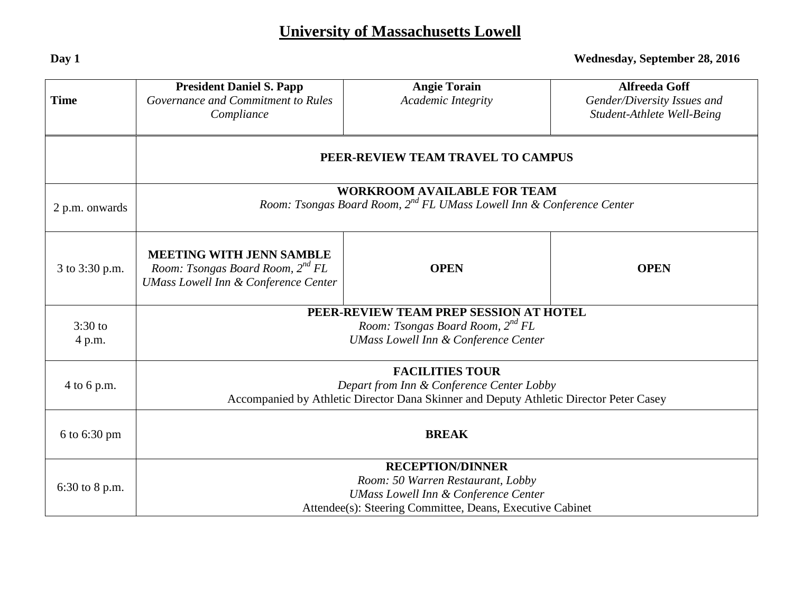## **University of Massachusetts Lowell**

| <b>Time</b>         | <b>President Daniel S. Papp</b><br>Governance and Commitment to Rules<br>Compliance                                                                                          | <b>Angie Torain</b><br>Academic Integrity | <b>Alfreeda Goff</b><br>Gender/Diversity Issues and<br>Student-Athlete Well-Being |  |
|---------------------|------------------------------------------------------------------------------------------------------------------------------------------------------------------------------|-------------------------------------------|-----------------------------------------------------------------------------------|--|
|                     | PEER-REVIEW TEAM TRAVEL TO CAMPUS                                                                                                                                            |                                           |                                                                                   |  |
| 2 p.m. onwards      | <b>WORKROOM AVAILABLE FOR TEAM</b><br>Room: Tsongas Board Room, 2 <sup>nd</sup> FL UMass Lowell Inn & Conference Center                                                      |                                           |                                                                                   |  |
| 3 to 3:30 p.m.      | <b>MEETING WITH JENN SAMBLE</b><br>Room: Tsongas Board Room, 2 <sup>nd</sup> FL<br><b>UMass Lowell Inn &amp; Conference Center</b>                                           | <b>OPEN</b>                               | <b>OPEN</b>                                                                       |  |
| $3:30$ to<br>4 p.m. | PEER-REVIEW TEAM PREP SESSION AT HOTEL<br>Room: Tsongas Board Room, 2 <sup>nd</sup> FL<br><b>UMass Lowell Inn &amp; Conference Center</b>                                    |                                           |                                                                                   |  |
| 4 to 6 p.m.         | <b>FACILITIES TOUR</b><br>Depart from Inn & Conference Center Lobby<br>Accompanied by Athletic Director Dana Skinner and Deputy Athletic Director Peter Casey                |                                           |                                                                                   |  |
| 6 to 6:30 pm        | <b>BREAK</b>                                                                                                                                                                 |                                           |                                                                                   |  |
| 6:30 to 8 p.m.      | <b>RECEPTION/DINNER</b><br>Room: 50 Warren Restaurant, Lobby<br><b>UMass Lowell Inn &amp; Conference Center</b><br>Attendee(s): Steering Committee, Deans, Executive Cabinet |                                           |                                                                                   |  |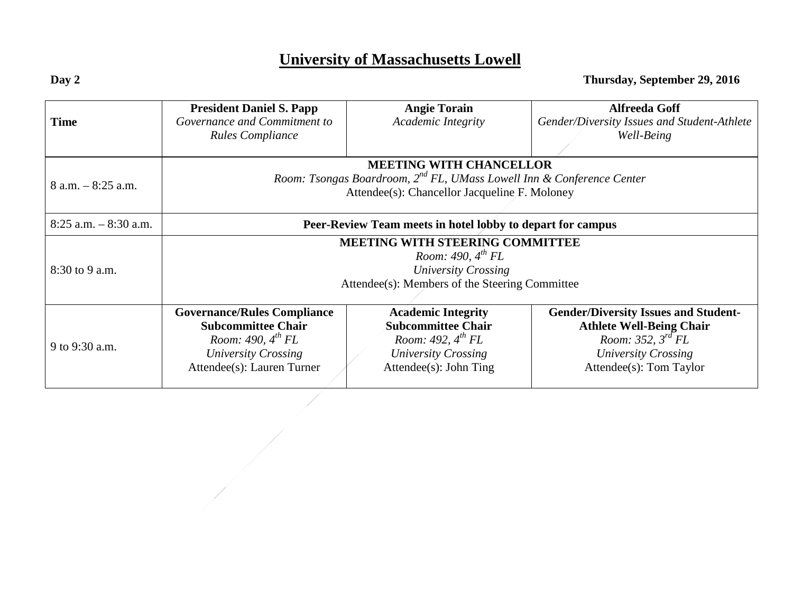## **University of Massachusetts Lowell**

|                          | <b>President Daniel S. Papp</b>                                                   | <b>Angie Torain</b>              | <b>Alfreeda Goff</b>                        |  |
|--------------------------|-----------------------------------------------------------------------------------|----------------------------------|---------------------------------------------|--|
| <b>Time</b>              | Governance and Commitment to                                                      | Academic Integrity               | Gender/Diversity Issues and Student-Athlete |  |
|                          | <b>Rules Compliance</b>                                                           |                                  | Well-Being                                  |  |
|                          |                                                                                   |                                  |                                             |  |
|                          | <b>MEETING WITH CHANCELLOR</b>                                                    |                                  |                                             |  |
| $8$ a.m. $-8:25$ a.m.    | Room: Tsongas Boardroom, 2 <sup>nd</sup> FL, UMass Lowell Inn & Conference Center |                                  |                                             |  |
|                          | Attendee(s): Chancellor Jacqueline F. Moloney                                     |                                  |                                             |  |
|                          |                                                                                   |                                  |                                             |  |
| $8:25$ a.m. $-8:30$ a.m. | Peer-Review Team meets in hotel lobby to depart for campus                        |                                  |                                             |  |
|                          | <b>MEETING WITH STEERING COMMITTEE</b>                                            |                                  |                                             |  |
|                          | Room: 490, $4^{th}$ FL                                                            |                                  |                                             |  |
| $8:30$ to 9 a.m.         | <b>University Crossing</b>                                                        |                                  |                                             |  |
|                          | Attendee(s): Members of the Steering Committee                                    |                                  |                                             |  |
|                          |                                                                                   |                                  |                                             |  |
|                          | <b>Governance/Rules Compliance</b>                                                | <b>Academic Integrity</b>        | <b>Gender/Diversity Issues and Student-</b> |  |
|                          | <b>Subcommittee Chair</b>                                                         | <b>Subcommittee Chair</b>        | <b>Athlete Well-Being Chair</b>             |  |
| 9 to 9:30 a.m.           | Room: 490, $4^{th}$ FL                                                            | Room: 492, $4^{th}$ FL           | Room: 352, $3^{rd}$ FL                      |  |
|                          | University Crossing                                                               | University Crossing              | University Crossing                         |  |
|                          | Attendee(s): Lauren Turner                                                        | $\text{Attendee(s)}$ : John Ting | Attendee(s): Tom Taylor                     |  |
|                          |                                                                                   |                                  |                                             |  |

**Day 2 Thursday, September 29, 2016**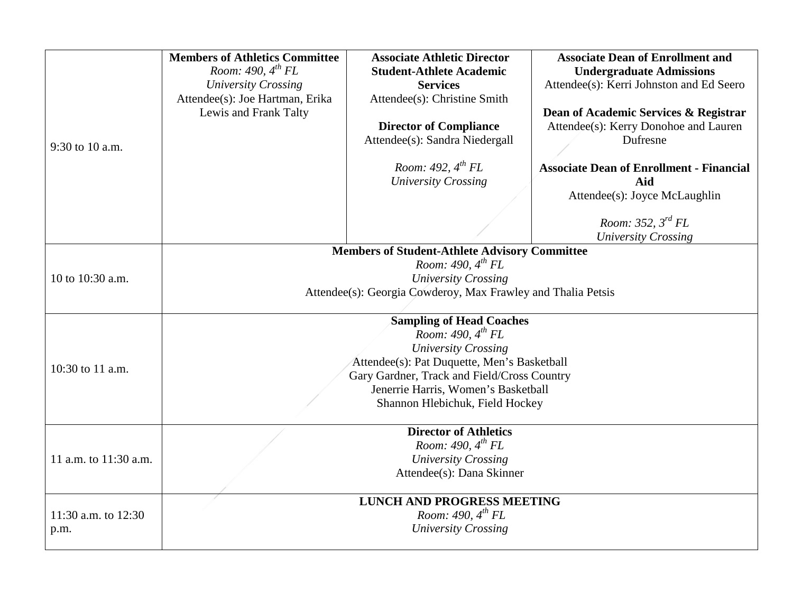| 9:30 to 10 a.m.       | <b>Members of Athletics Committee</b><br>Room: 490, $4^{th}$ FL<br><b>University Crossing</b><br>Attendee(s): Joe Hartman, Erika<br>Lewis and Frank Talty | <b>Associate Athletic Director</b><br><b>Student-Athlete Academic</b><br><b>Services</b><br>Attendee(s): Christine Smith<br><b>Director of Compliance</b><br>Attendee(s): Sandra Niedergall | <b>Associate Dean of Enrollment and</b><br><b>Undergraduate Admissions</b><br>Attendee(s): Kerri Johnston and Ed Seero<br>Dean of Academic Services & Registrar<br>Attendee(s): Kerry Donohoe and Lauren<br>Dufresne |  |  |
|-----------------------|-----------------------------------------------------------------------------------------------------------------------------------------------------------|---------------------------------------------------------------------------------------------------------------------------------------------------------------------------------------------|----------------------------------------------------------------------------------------------------------------------------------------------------------------------------------------------------------------------|--|--|
|                       |                                                                                                                                                           | Room: 492, $4^{th}$ FL<br><b>University Crossing</b>                                                                                                                                        | <b>Associate Dean of Enrollment - Financial</b><br>Aid<br>Attendee(s): Joyce McLaughlin<br>Room: 352, $3^{rd}$ FL                                                                                                    |  |  |
|                       |                                                                                                                                                           | <b>Members of Student-Athlete Advisory Committee</b>                                                                                                                                        | <b>University Crossing</b>                                                                                                                                                                                           |  |  |
|                       | Room: 490, $4^{th}$ FL                                                                                                                                    |                                                                                                                                                                                             |                                                                                                                                                                                                                      |  |  |
| 10 to 10:30 a.m.      | <b>University Crossing</b>                                                                                                                                |                                                                                                                                                                                             |                                                                                                                                                                                                                      |  |  |
|                       | Attendee(s): Georgia Cowderoy, Max Frawley and Thalia Petsis                                                                                              |                                                                                                                                                                                             |                                                                                                                                                                                                                      |  |  |
|                       | <b>Sampling of Head Coaches</b>                                                                                                                           |                                                                                                                                                                                             |                                                                                                                                                                                                                      |  |  |
|                       | Room: 490, 4 <sup>th</sup> FL                                                                                                                             |                                                                                                                                                                                             |                                                                                                                                                                                                                      |  |  |
|                       | <b>University Crossing</b>                                                                                                                                |                                                                                                                                                                                             |                                                                                                                                                                                                                      |  |  |
| 10:30 to 11 a.m.      | Attendee(s): Pat Duquette, Men's Basketball<br>Gary Gardner, Track and Field/Cross Country                                                                |                                                                                                                                                                                             |                                                                                                                                                                                                                      |  |  |
|                       | Jenerrie Harris, Women's Basketball                                                                                                                       |                                                                                                                                                                                             |                                                                                                                                                                                                                      |  |  |
|                       | Shannon Hlebichuk, Field Hockey                                                                                                                           |                                                                                                                                                                                             |                                                                                                                                                                                                                      |  |  |
|                       |                                                                                                                                                           | <b>Director of Athletics</b>                                                                                                                                                                |                                                                                                                                                                                                                      |  |  |
|                       | Room: 490, $4^{th}$ FL                                                                                                                                    |                                                                                                                                                                                             |                                                                                                                                                                                                                      |  |  |
| 11 a.m. to 11:30 a.m. | <b>University Crossing</b>                                                                                                                                |                                                                                                                                                                                             |                                                                                                                                                                                                                      |  |  |
|                       | Attendee(s): Dana Skinner                                                                                                                                 |                                                                                                                                                                                             |                                                                                                                                                                                                                      |  |  |
|                       |                                                                                                                                                           | <b>LUNCH AND PROGRESS MEETING</b>                                                                                                                                                           |                                                                                                                                                                                                                      |  |  |
| 11:30 a.m. to 12:30   | Room: 490, $4^{th}$ FL                                                                                                                                    |                                                                                                                                                                                             |                                                                                                                                                                                                                      |  |  |
| p.m.                  | <b>University Crossing</b>                                                                                                                                |                                                                                                                                                                                             |                                                                                                                                                                                                                      |  |  |